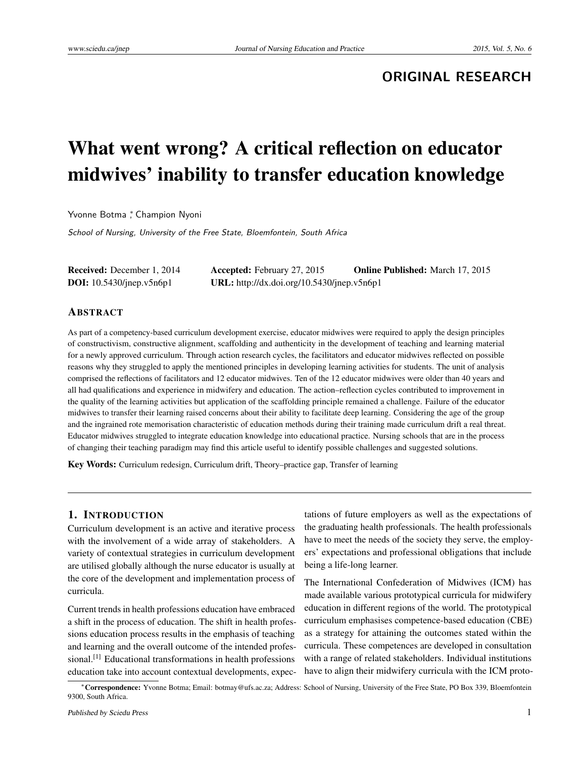## **ORIGINAL RESEARCH**

# What went wrong? A critical reflection on educator midwives' inability to transfer education knowledge

Yvonne Botma <sup>\*</sup>, Champion Nyoni

School of Nursing, University of the Free State, Bloemfontein, South Africa

| <b>Received:</b> December 1, 2014  | <b>Accepted:</b> February 27, 2015         | <b>Online Published:</b> March 17, 2015 |
|------------------------------------|--------------------------------------------|-----------------------------------------|
| <b>DOI:</b> $10.5430$ /jnep.v5n6p1 | URL: http://dx.doi.org/10.5430/jnep.v5n6p1 |                                         |

#### ABSTRACT

As part of a competency-based curriculum development exercise, educator midwives were required to apply the design principles of constructivism, constructive alignment, scaffolding and authenticity in the development of teaching and learning material for a newly approved curriculum. Through action research cycles, the facilitators and educator midwives reflected on possible reasons why they struggled to apply the mentioned principles in developing learning activities for students. The unit of analysis comprised the reflections of facilitators and 12 educator midwives. Ten of the 12 educator midwives were older than 40 years and all had qualifications and experience in midwifery and education. The action–reflection cycles contributed to improvement in the quality of the learning activities but application of the scaffolding principle remained a challenge. Failure of the educator midwives to transfer their learning raised concerns about their ability to facilitate deep learning. Considering the age of the group and the ingrained rote memorisation characteristic of education methods during their training made curriculum drift a real threat. Educator midwives struggled to integrate education knowledge into educational practice. Nursing schools that are in the process of changing their teaching paradigm may find this article useful to identify possible challenges and suggested solutions.

Key Words: Curriculum redesign, Curriculum drift, Theory–practice gap, Transfer of learning

#### 1. INTRODUCTION

Curriculum development is an active and iterative process with the involvement of a wide array of stakeholders. A variety of contextual strategies in curriculum development are utilised globally although the nurse educator is usually at the core of the development and implementation process of curricula.

Current trends in health professions education have embraced a shift in the process of education. The shift in health professions education process results in the emphasis of teaching and learning and the overall outcome of the intended professional.[\[1\]](#page-6-0) Educational transformations in health professions education take into account contextual developments, expec-

tations of future employers as well as the expectations of the graduating health professionals. The health professionals have to meet the needs of the society they serve, the employers' expectations and professional obligations that include being a life-long learner.

The International Confederation of Midwives (ICM) has made available various prototypical curricula for midwifery education in different regions of the world. The prototypical curriculum emphasises competence-based education (CBE) as a strategy for attaining the outcomes stated within the curricula. These competences are developed in consultation with a range of related stakeholders. Individual institutions have to align their midwifery curricula with the ICM proto-

<sup>∗</sup>Correspondence: Yvonne Botma; Email: botmay@ufs.ac.za; Address: School of Nursing, University of the Free State, PO Box 339, Bloemfontein 9300, South Africa.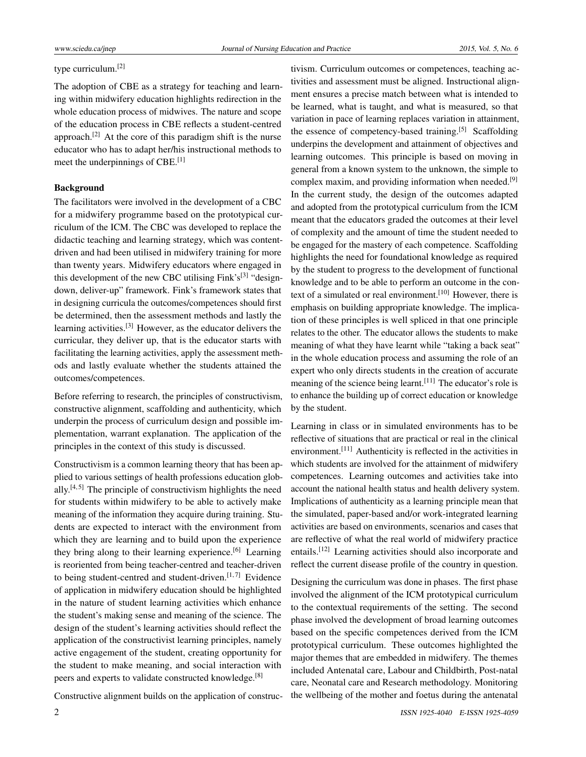## type curriculum.[\[2\]](#page-6-1)

The adoption of CBE as a strategy for teaching and learning within midwifery education highlights redirection in the whole education process of midwives. The nature and scope of the education process in CBE reflects a student-centred approach.<sup>[\[2\]](#page-6-1)</sup> At the core of this paradigm shift is the nurse educator who has to adapt her/his instructional methods to meet the underpinnings of CBE.<sup>[\[1\]](#page-6-0)</sup>

#### Background

The facilitators were involved in the development of a CBC for a midwifery programme based on the prototypical curriculum of the ICM. The CBC was developed to replace the didactic teaching and learning strategy, which was contentdriven and had been utilised in midwifery training for more than twenty years. Midwifery educators where engaged in this development of the new CBC utilising Fink's<sup>[\[3\]](#page-6-2)</sup> "designdown, deliver-up" framework. Fink's framework states that in designing curricula the outcomes/competences should first be determined, then the assessment methods and lastly the learning activities.[\[3\]](#page-6-2) However, as the educator delivers the curricular, they deliver up, that is the educator starts with facilitating the learning activities, apply the assessment methods and lastly evaluate whether the students attained the outcomes/competences.

Before referring to research, the principles of constructivism, constructive alignment, scaffolding and authenticity, which underpin the process of curriculum design and possible implementation, warrant explanation. The application of the principles in the context of this study is discussed.

Constructivism is a common learning theory that has been applied to various settings of health professions education globally. $[4, 5]$  $[4, 5]$  $[4, 5]$  The principle of constructivism highlights the need for students within midwifery to be able to actively make meaning of the information they acquire during training. Students are expected to interact with the environment from which they are learning and to build upon the experience they bring along to their learning experience.<sup>[\[6\]](#page-6-5)</sup> Learning is reoriented from being teacher-centred and teacher-driven to being student-centred and student-driven.<sup>[\[1,](#page-6-0)[7\]](#page-6-6)</sup> Evidence of application in midwifery education should be highlighted in the nature of student learning activities which enhance the student's making sense and meaning of the science. The design of the student's learning activities should reflect the application of the constructivist learning principles, namely active engagement of the student, creating opportunity for the student to make meaning, and social interaction with peers and experts to validate constructed knowledge.<sup>[\[8\]](#page-6-7)</sup>

Constructive alignment builds on the application of construc-

2 ISSN 1925-4040 E-ISSN 1925-4059

tivism. Curriculum outcomes or competences, teaching activities and assessment must be aligned. Instructional alignment ensures a precise match between what is intended to be learned, what is taught, and what is measured, so that variation in pace of learning replaces variation in attainment, the essence of competency-based training.<sup>[\[5\]](#page-6-4)</sup> Scaffolding underpins the development and attainment of objectives and learning outcomes. This principle is based on moving in general from a known system to the unknown, the simple to complex maxim, and providing information when needed.<sup>[\[9\]](#page-6-8)</sup> In the current study, the design of the outcomes adapted and adopted from the prototypical curriculum from the ICM meant that the educators graded the outcomes at their level of complexity and the amount of time the student needed to be engaged for the mastery of each competence. Scaffolding highlights the need for foundational knowledge as required by the student to progress to the development of functional knowledge and to be able to perform an outcome in the con-text of a simulated or real environment.<sup>[\[10\]](#page-6-9)</sup> However, there is emphasis on building appropriate knowledge. The implication of these principles is well spliced in that one principle relates to the other. The educator allows the students to make meaning of what they have learnt while "taking a back seat" in the whole education process and assuming the role of an expert who only directs students in the creation of accurate meaning of the science being learnt.  $[11]$  The educator's role is to enhance the building up of correct education or knowledge by the student.

Learning in class or in simulated environments has to be reflective of situations that are practical or real in the clinical environment.[\[11\]](#page-6-10) Authenticity is reflected in the activities in which students are involved for the attainment of midwifery competences. Learning outcomes and activities take into account the national health status and health delivery system. Implications of authenticity as a learning principle mean that the simulated, paper-based and/or work-integrated learning activities are based on environments, scenarios and cases that are reflective of what the real world of midwifery practice entails.[\[12\]](#page-6-11) Learning activities should also incorporate and reflect the current disease profile of the country in question.

Designing the curriculum was done in phases. The first phase involved the alignment of the ICM prototypical curriculum to the contextual requirements of the setting. The second phase involved the development of broad learning outcomes based on the specific competences derived from the ICM prototypical curriculum. These outcomes highlighted the major themes that are embedded in midwifery. The themes included Antenatal care, Labour and Childbirth, Post-natal care, Neonatal care and Research methodology. Monitoring the wellbeing of the mother and foetus during the antenatal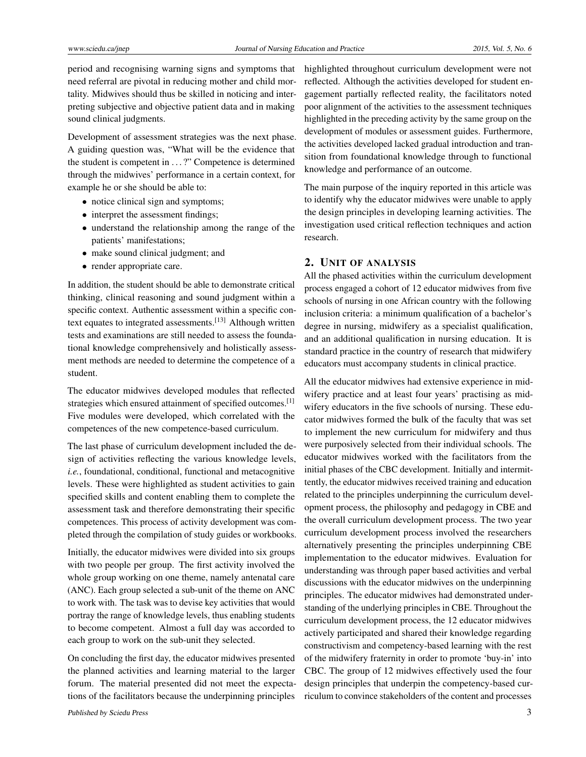period and recognising warning signs and symptoms that need referral are pivotal in reducing mother and child mortality. Midwives should thus be skilled in noticing and interpreting subjective and objective patient data and in making sound clinical judgments.

Development of assessment strategies was the next phase. A guiding question was, "What will be the evidence that the student is competent in . . . ?" Competence is determined through the midwives' performance in a certain context, for example he or she should be able to:

- notice clinical sign and symptoms;
- interpret the assessment findings;
- understand the relationship among the range of the patients' manifestations;
- make sound clinical judgment; and
- render appropriate care.

In addition, the student should be able to demonstrate critical thinking, clinical reasoning and sound judgment within a specific context. Authentic assessment within a specific context equates to integrated assessments.[\[13\]](#page-6-12) Although written tests and examinations are still needed to assess the foundational knowledge comprehensively and holistically assessment methods are needed to determine the competence of a student.

The educator midwives developed modules that reflected strategies which ensured attainment of specified outcomes.<sup>[\[1\]](#page-6-0)</sup> Five modules were developed, which correlated with the competences of the new competence-based curriculum.

The last phase of curriculum development included the design of activities reflecting the various knowledge levels, *i.e.*, foundational, conditional, functional and metacognitive levels. These were highlighted as student activities to gain specified skills and content enabling them to complete the assessment task and therefore demonstrating their specific competences. This process of activity development was completed through the compilation of study guides or workbooks.

Initially, the educator midwives were divided into six groups with two people per group. The first activity involved the whole group working on one theme, namely antenatal care (ANC). Each group selected a sub-unit of the theme on ANC to work with. The task was to devise key activities that would portray the range of knowledge levels, thus enabling students to become competent. Almost a full day was accorded to each group to work on the sub-unit they selected.

On concluding the first day, the educator midwives presented the planned activities and learning material to the larger forum. The material presented did not meet the expectations of the facilitators because the underpinning principles highlighted throughout curriculum development were not reflected. Although the activities developed for student engagement partially reflected reality, the facilitators noted poor alignment of the activities to the assessment techniques highlighted in the preceding activity by the same group on the development of modules or assessment guides. Furthermore, the activities developed lacked gradual introduction and transition from foundational knowledge through to functional knowledge and performance of an outcome.

The main purpose of the inquiry reported in this article was to identify why the educator midwives were unable to apply the design principles in developing learning activities. The investigation used critical reflection techniques and action research.

## 2. UNIT OF ANALYSIS

All the phased activities within the curriculum development process engaged a cohort of 12 educator midwives from five schools of nursing in one African country with the following inclusion criteria: a minimum qualification of a bachelor's degree in nursing, midwifery as a specialist qualification, and an additional qualification in nursing education. It is standard practice in the country of research that midwifery educators must accompany students in clinical practice.

All the educator midwives had extensive experience in midwifery practice and at least four years' practising as midwifery educators in the five schools of nursing. These educator midwives formed the bulk of the faculty that was set to implement the new curriculum for midwifery and thus were purposively selected from their individual schools. The educator midwives worked with the facilitators from the initial phases of the CBC development. Initially and intermittently, the educator midwives received training and education related to the principles underpinning the curriculum development process, the philosophy and pedagogy in CBE and the overall curriculum development process. The two year curriculum development process involved the researchers alternatively presenting the principles underpinning CBE implementation to the educator midwives. Evaluation for understanding was through paper based activities and verbal discussions with the educator midwives on the underpinning principles. The educator midwives had demonstrated understanding of the underlying principles in CBE. Throughout the curriculum development process, the 12 educator midwives actively participated and shared their knowledge regarding constructivism and competency-based learning with the rest of the midwifery fraternity in order to promote 'buy-in' into CBC. The group of 12 midwives effectively used the four design principles that underpin the competency-based curriculum to convince stakeholders of the content and processes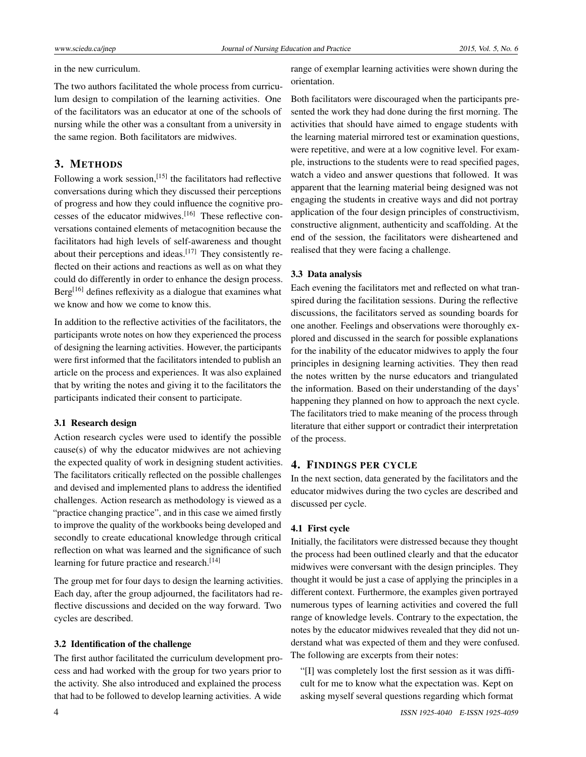in the new curriculum.

The two authors facilitated the whole process from curriculum design to compilation of the learning activities. One of the facilitators was an educator at one of the schools of nursing while the other was a consultant from a university in the same region. Both facilitators are midwives.

### 3. METHODS

Following a work session, [\[15\]](#page-6-13) the facilitators had reflective conversations during which they discussed their perceptions of progress and how they could influence the cognitive processes of the educator midwives.[\[16\]](#page-6-14) These reflective conversations contained elements of metacognition because the facilitators had high levels of self-awareness and thought about their perceptions and ideas.<sup>[\[17\]](#page-6-15)</sup> They consistently reflected on their actions and reactions as well as on what they could do differently in order to enhance the design process.  $Berg<sup>[16]</sup>$  $Berg<sup>[16]</sup>$  $Berg<sup>[16]</sup>$  defines reflexivity as a dialogue that examines what we know and how we come to know this.

In addition to the reflective activities of the facilitators, the participants wrote notes on how they experienced the process of designing the learning activities. However, the participants were first informed that the facilitators intended to publish an article on the process and experiences. It was also explained that by writing the notes and giving it to the facilitators the participants indicated their consent to participate.

#### 3.1 Research design

Action research cycles were used to identify the possible cause(s) of why the educator midwives are not achieving the expected quality of work in designing student activities. The facilitators critically reflected on the possible challenges and devised and implemented plans to address the identified challenges. Action research as methodology is viewed as a "practice changing practice", and in this case we aimed firstly to improve the quality of the workbooks being developed and secondly to create educational knowledge through critical reflection on what was learned and the significance of such learning for future practice and research.<sup>[\[14\]](#page-6-16)</sup>

The group met for four days to design the learning activities. Each day, after the group adjourned, the facilitators had reflective discussions and decided on the way forward. Two cycles are described.

#### 3.2 Identification of the challenge

The first author facilitated the curriculum development process and had worked with the group for two years prior to the activity. She also introduced and explained the process that had to be followed to develop learning activities. A wide

range of exemplar learning activities were shown during the orientation.

Both facilitators were discouraged when the participants presented the work they had done during the first morning. The activities that should have aimed to engage students with the learning material mirrored test or examination questions, were repetitive, and were at a low cognitive level. For example, instructions to the students were to read specified pages, watch a video and answer questions that followed. It was apparent that the learning material being designed was not engaging the students in creative ways and did not portray application of the four design principles of constructivism, constructive alignment, authenticity and scaffolding. At the end of the session, the facilitators were disheartened and realised that they were facing a challenge.

#### 3.3 Data analysis

Each evening the facilitators met and reflected on what transpired during the facilitation sessions. During the reflective discussions, the facilitators served as sounding boards for one another. Feelings and observations were thoroughly explored and discussed in the search for possible explanations for the inability of the educator midwives to apply the four principles in designing learning activities. They then read the notes written by the nurse educators and triangulated the information. Based on their understanding of the days' happening they planned on how to approach the next cycle. The facilitators tried to make meaning of the process through literature that either support or contradict their interpretation of the process.

#### 4. FINDINGS PER CYCLE

In the next section, data generated by the facilitators and the educator midwives during the two cycles are described and discussed per cycle.

#### 4.1 First cycle

Initially, the facilitators were distressed because they thought the process had been outlined clearly and that the educator midwives were conversant with the design principles. They thought it would be just a case of applying the principles in a different context. Furthermore, the examples given portrayed numerous types of learning activities and covered the full range of knowledge levels. Contrary to the expectation, the notes by the educator midwives revealed that they did not understand what was expected of them and they were confused. The following are excerpts from their notes:

"[I] was completely lost the first session as it was difficult for me to know what the expectation was. Kept on asking myself several questions regarding which format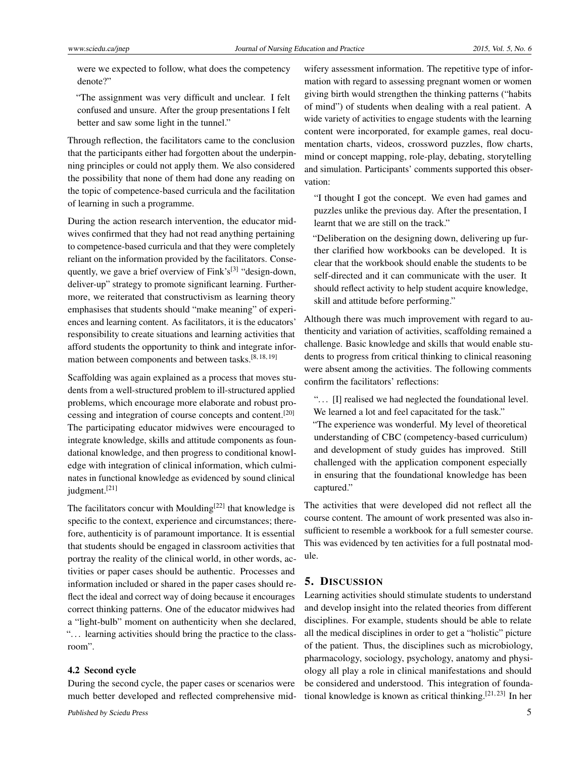were we expected to follow, what does the competency denote?"

"The assignment was very difficult and unclear. I felt confused and unsure. After the group presentations I felt better and saw some light in the tunnel."

Through reflection, the facilitators came to the conclusion that the participants either had forgotten about the underpinning principles or could not apply them. We also considered the possibility that none of them had done any reading on the topic of competence-based curricula and the facilitation of learning in such a programme.

During the action research intervention, the educator midwives confirmed that they had not read anything pertaining to competence-based curricula and that they were completely reliant on the information provided by the facilitators. Conse-quently, we gave a brief overview of Fink's<sup>[\[3\]](#page-6-2)</sup> "design-down, deliver-up" strategy to promote significant learning. Furthermore, we reiterated that constructivism as learning theory emphasises that students should "make meaning" of experiences and learning content. As facilitators, it is the educators' responsibility to create situations and learning activities that afford students the opportunity to think and integrate infor-mation between components and between tasks.<sup>[\[8,](#page-6-7) [18,](#page-6-17) [19\]](#page-6-18)</sup>

Scaffolding was again explained as a process that moves students from a well-structured problem to ill-structured applied problems, which encourage more elaborate and robust processing and integration of course concepts and content.[\[20\]](#page-6-19) The participating educator midwives were encouraged to integrate knowledge, skills and attitude components as foundational knowledge, and then progress to conditional knowledge with integration of clinical information, which culminates in functional knowledge as evidenced by sound clinical judgment.<sup>[\[21\]](#page-7-0)</sup>

The facilitators concur with Moulding<sup>[\[22\]](#page-7-1)</sup> that knowledge is specific to the context, experience and circumstances; therefore, authenticity is of paramount importance. It is essential that students should be engaged in classroom activities that portray the reality of the clinical world, in other words, activities or paper cases should be authentic. Processes and information included or shared in the paper cases should reflect the ideal and correct way of doing because it encourages correct thinking patterns. One of the educator midwives had a "light-bulb" moment on authenticity when she declared, ". . . learning activities should bring the practice to the classroom".

#### 4.2 Second cycle

During the second cycle, the paper cases or scenarios were much better developed and reflected comprehensive mid-

wifery assessment information. The repetitive type of information with regard to assessing pregnant women or women giving birth would strengthen the thinking patterns ("habits of mind") of students when dealing with a real patient. A wide variety of activities to engage students with the learning content were incorporated, for example games, real documentation charts, videos, crossword puzzles, flow charts, mind or concept mapping, role-play, debating, storytelling and simulation. Participants' comments supported this observation:

"I thought I got the concept. We even had games and puzzles unlike the previous day. After the presentation, I learnt that we are still on the track."

"Deliberation on the designing down, delivering up further clarified how workbooks can be developed. It is clear that the workbook should enable the students to be self-directed and it can communicate with the user. It should reflect activity to help student acquire knowledge, skill and attitude before performing."

Although there was much improvement with regard to authenticity and variation of activities, scaffolding remained a challenge. Basic knowledge and skills that would enable students to progress from critical thinking to clinical reasoning were absent among the activities. The following comments confirm the facilitators' reflections:

"... [I] realised we had neglected the foundational level. We learned a lot and feel capacitated for the task."

"The experience was wonderful. My level of theoretical understanding of CBC (competency-based curriculum) and development of study guides has improved. Still challenged with the application component especially in ensuring that the foundational knowledge has been captured."

The activities that were developed did not reflect all the course content. The amount of work presented was also insufficient to resemble a workbook for a full semester course. This was evidenced by ten activities for a full postnatal module.

## 5. DISCUSSION

Learning activities should stimulate students to understand and develop insight into the related theories from different disciplines. For example, students should be able to relate all the medical disciplines in order to get a "holistic" picture of the patient. Thus, the disciplines such as microbiology, pharmacology, sociology, psychology, anatomy and physiology all play a role in clinical manifestations and should be considered and understood. This integration of founda-tional knowledge is known as critical thinking.<sup>[\[21,](#page-7-0)[23\]](#page-7-2)</sup> In her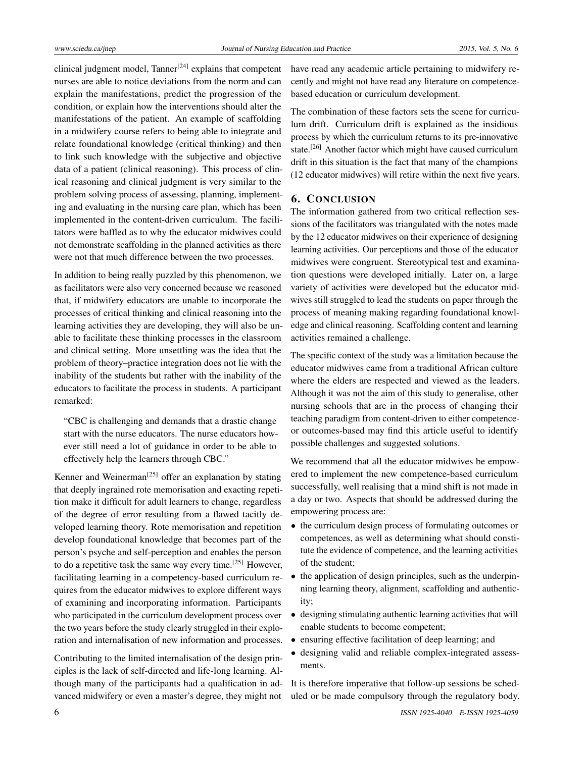clinical judgment model, Tanner<sup>[\[24\]](#page-7-3)</sup> explains that competent nurses are able to notice deviations from the norm and can explain the manifestations, predict the progression of the condition, or explain how the interventions should alter the manifestations of the patient. An example of scaffolding in a midwifery course refers to being able to integrate and relate foundational knowledge (critical thinking) and then to link such knowledge with the subjective and objective data of a patient (clinical reasoning). This process of clinical reasoning and clinical judgment is very similar to the problem solving process of assessing, planning, implementing and evaluating in the nursing care plan, which has been implemented in the content-driven curriculum. The facilitators were baffled as to why the educator midwives could not demonstrate scaffolding in the planned activities as there were not that much difference between the two processes.

In addition to being really puzzled by this phenomenon, we as facilitators were also very concerned because we reasoned that, if midwifery educators are unable to incorporate the processes of critical thinking and clinical reasoning into the learning activities they are developing, they will also be unable to facilitate these thinking processes in the classroom and clinical setting. More unsettling was the idea that the problem of theory–practice integration does not lie with the inability of the students but rather with the inability of the educators to facilitate the process in students. A participant remarked:

"CBC is challenging and demands that a drastic change start with the nurse educators. The nurse educators however still need a lot of guidance in order to be able to effectively help the learners through CBC."

Kenner and Weinerman<sup>[\[25\]](#page-7-4)</sup> offer an explanation by stating that deeply ingrained rote memorisation and exacting repetition make it difficult for adult learners to change, regardless of the degree of error resulting from a flawed tacitly developed learning theory. Rote memorisation and repetition develop foundational knowledge that becomes part of the person's psyche and self-perception and enables the person to do a repetitive task the same way every time.[\[25\]](#page-7-4) However, facilitating learning in a competency-based curriculum requires from the educator midwives to explore different ways of examining and incorporating information. Participants who participated in the curriculum development process over the two years before the study clearly struggled in their exploration and internalisation of new information and processes.

Contributing to the limited internalisation of the design principles is the lack of self-directed and life-long learning. Although many of the participants had a qualification in advanced midwifery or even a master's degree, they might not

have read any academic article pertaining to midwifery recently and might not have read any literature on competencebased education or curriculum development.

The combination of these factors sets the scene for curriculum drift. Curriculum drift is explained as the insidious process by which the curriculum returns to its pre-innovative state.<sup>[\[26\]](#page-7-5)</sup> Another factor which might have caused curriculum drift in this situation is the fact that many of the champions (12 educator midwives) will retire within the next five years.

## 6. CONCLUSION

The information gathered from two critical reflection sessions of the facilitators was triangulated with the notes made by the 12 educator midwives on their experience of designing learning activities. Our perceptions and those of the educator midwives were congruent. Stereotypical test and examination questions were developed initially. Later on, a large variety of activities were developed but the educator midwives still struggled to lead the students on paper through the process of meaning making regarding foundational knowledge and clinical reasoning. Scaffolding content and learning activities remained a challenge.

The specific context of the study was a limitation because the educator midwives came from a traditional African culture where the elders are respected and viewed as the leaders. Although it was not the aim of this study to generalise, other nursing schools that are in the process of changing their teaching paradigm from content-driven to either competenceor outcomes-based may find this article useful to identify possible challenges and suggested solutions.

We recommend that all the educator midwives be empowered to implement the new competence-based curriculum successfully, well realising that a mind shift is not made in a day or two. Aspects that should be addressed during the empowering process are:

- the curriculum design process of formulating outcomes or competences, as well as determining what should constitute the evidence of competence, and the learning activities of the student;
- the application of design principles, such as the underpinning learning theory, alignment, scaffolding and authenticity;
- designing stimulating authentic learning activities that will enable students to become competent;
- ensuring effective facilitation of deep learning; and
- designing valid and reliable complex-integrated assessments.

It is therefore imperative that follow-up sessions be scheduled or be made compulsory through the regulatory body.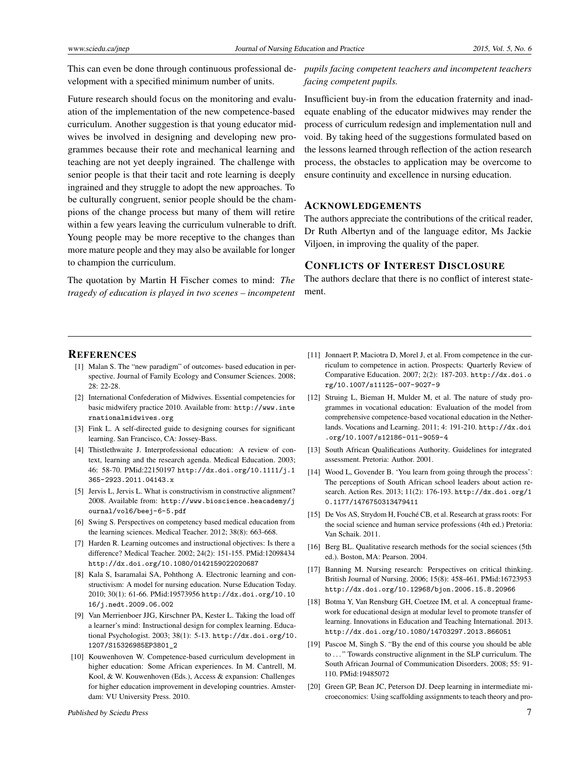This can even be done through continuous professional de-*pupils facing competent teachers and incompetent teachers* velopment with a specified minimum number of units.

Future research should focus on the monitoring and evaluation of the implementation of the new competence-based curriculum. Another suggestion is that young educator midwives be involved in designing and developing new programmes because their rote and mechanical learning and teaching are not yet deeply ingrained. The challenge with senior people is that their tacit and rote learning is deeply ingrained and they struggle to adopt the new approaches. To be culturally congruent, senior people should be the champions of the change process but many of them will retire within a few years leaving the curriculum vulnerable to drift. Young people may be more receptive to the changes than more mature people and they may also be available for longer to champion the curriculum.

The quotation by Martin H Fischer comes to mind: *The tragedy of education is played in two scenes – incompetent* *facing competent pupils.*

Insufficient buy-in from the education fraternity and inadequate enabling of the educator midwives may render the process of curriculum redesign and implementation null and void. By taking heed of the suggestions formulated based on the lessons learned through reflection of the action research process, the obstacles to application may be overcome to ensure continuity and excellence in nursing education.

## ACKNOWLEDGEMENTS

The authors appreciate the contributions of the critical reader, Dr Ruth Albertyn and of the language editor, Ms Jackie Viljoen, in improving the quality of the paper.

#### CONFLICTS OF INTEREST DISCLOSURE

The authors declare that there is no conflict of interest statement.

#### **REFERENCES**

- <span id="page-6-0"></span>[1] Malan S. The "new paradigm" of outcomes- based education in perspective. Journal of Family Ecology and Consumer Sciences. 2008; 28: 22-28.
- <span id="page-6-1"></span>[2] International Confederation of Midwives. Essential competencies for basic midwifery practice 2010. Available from: [http://www.inte](http://www.internationalmidwives.org) [rnationalmidwives.org](http://www.internationalmidwives.org)
- <span id="page-6-2"></span>[3] Fink L. A self-directed guide to designing courses for significant learning. San Francisco, CA: Jossey-Bass.
- <span id="page-6-3"></span>[4] Thistlethwaite J. Interprofessional education: A review of context, learning and the research agenda. Medical Education. 2003; 46: 58-70. PMid:22150197 [http://dx.doi.org/10.1111/j.1](http://dx.doi.org/10.1111/j.1365-2923.2011.04143.x) [365-2923.2011.04143.x](http://dx.doi.org/10.1111/j.1365-2923.2011.04143.x)
- <span id="page-6-4"></span>[5] Jervis L, Jervis L. What is constructivism in constructive alignment? 2008. Available from: [http://www.bioscience.heacademy/j](http://www.bioscience.heacademy/journal/vol6/beej-6-5.pdf) [ournal/vol6/beej-6-5.pdf](http://www.bioscience.heacademy/journal/vol6/beej-6-5.pdf)
- <span id="page-6-5"></span>[6] Swing S. Perspectives on competency based medical education from the learning sciences. Medical Teacher. 2012; 38(8): 663-668.
- <span id="page-6-6"></span>[7] Harden R. Learning outcomes and instructional objectives: Is there a difference? Medical Teacher. 2002; 24(2): 151-155. PMid:12098434 <http://dx.doi.org/10.1080/0142159022020687>
- <span id="page-6-7"></span>[8] Kala S, Isaramalai SA, Pohthong A. Electronic learning and constructivism: A model for nursing education. Nurse Education Today. 2010; 30(1): 61-66. PMid:19573956 [http://dx.doi.org/10.10](http://dx.doi.org/10.1016/j.nedt.2009.06.002) [16/j.nedt.2009.06.002](http://dx.doi.org/10.1016/j.nedt.2009.06.002)
- <span id="page-6-8"></span>[9] Van Merrienboer JJG, Kirschner PA, Kester L. Taking the load off a learner's mind: Instructional design for complex learning. Educational Psychologist. 2003; 38(1): 5-13. [http://dx.doi.org/10.](http://dx.doi.org/10.1207/S15326985EP3801_2) [1207/S15326985EP3801\\_2](http://dx.doi.org/10.1207/S15326985EP3801_2)
- <span id="page-6-9"></span>[10] Kouwenhoven W. Competence-based curriculum development in higher education: Some African experiences. In M. Cantrell, M. Kool, & W. Kouwenhoven (Eds.), Access & expansion: Challenges for higher education improvement in developing countries. Amsterdam: VU University Press. 2010.
- <span id="page-6-10"></span>[11] Jonnaert P, Maciotra D, Morel J, et al. From competence in the curriculum to competence in action. Prospects: Quarterly Review of Comparative Education. 2007; 2(2): 187-203. [http://dx.doi.o](http://dx.doi.org/10.1007/s11125-007-9027-9 ) [rg/10.1007/s11125-007-9027-9](http://dx.doi.org/10.1007/s11125-007-9027-9 )
- <span id="page-6-11"></span>[12] Struing L, Bieman H, Mulder M, et al. The nature of study programmes in vocational education: Evaluation of the model from comprehensive competence-based vocational education in the Netherlands. Vocations and Learning. 2011; 4: 191-210. [http://dx.doi](http://dx.doi.org/10.1007/s12186-011-9059-4) [.org/10.1007/s12186-011-9059-4](http://dx.doi.org/10.1007/s12186-011-9059-4)
- <span id="page-6-12"></span>[13] South African Qualifications Authority. Guidelines for integrated assessment. Pretoria: Author. 2001.
- <span id="page-6-16"></span>[14] Wood L, Govender B. 'You learn from going through the process': The perceptions of South African school leaders about action research. Action Res. 2013; 11(2): 176-193. [http://dx.doi.org/1](http://dx.doi.org/10.1177/1476750313479411) [0.1177/1476750313479411](http://dx.doi.org/10.1177/1476750313479411)
- <span id="page-6-13"></span>[15] De Vos AS, Strydom H, Fouché CB, et al. Research at grass roots: For the social science and human service professions (4th ed.) Pretoria: Van Schaik. 2011.
- <span id="page-6-14"></span>[16] Berg BL. Qualitative research methods for the social sciences (5th ed.). Boston, MA: Pearson. 2004.
- <span id="page-6-15"></span>[17] Banning M. Nursing research: Perspectives on critical thinking. British Journal of Nursing. 2006; 15(8): 458-461. PMid:16723953 <http://dx.doi.org/10.12968/bjon.2006.15.8.20966>
- <span id="page-6-17"></span>[18] Botma Y, Van Rensburg GH, Coetzee IM, et al. A conceptual framework for educational design at modular level to promote transfer of learning. Innovations in Education and Teaching International. 2013. <http://dx.doi.org/10.1080/14703297.2013.866051>
- <span id="page-6-18"></span>[19] Pascoe M, Singh S. "By the end of this course you should be able to . . . " Towards constructive alignment in the SLP curriculum. The South African Journal of Communication Disorders. 2008; 55: 91- 110. PMid:19485072
- <span id="page-6-19"></span>[20] Green GP, Bean JC, Peterson DJ. Deep learning in intermediate microeconomics: Using scaffolding assignments to teach theory and pro-